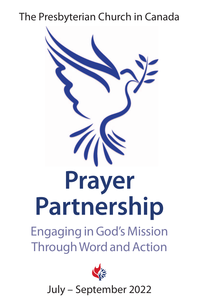# The Presbyterian Church in Canada





July – September 2022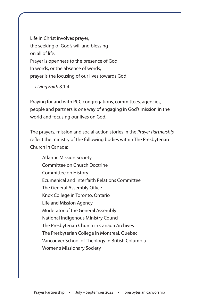Life in Christ involves prayer, the seeking of God's will and blessing on all of life. Prayer is openness to the presence of God. In words, or the absence of words, prayer is the focusing of our lives towards God.

—Living Faith 8.1.4

Praying for and with PCC congregations, committees, agencies, people and partners is one way of engaging in God's mission in the world and focusing our lives on God.

The prayers, mission and social action stories in the Prayer Partnership reflect the ministry of the following bodies within The Presbyterian Church in Canada:

Atlantic Mission Society Committee on Church Doctrine Committee on History Ecumenical and Interfaith Relations Committee The General Assembly Office Knox College in Toronto, Ontario Life and Mission Agency Moderator of the General Assembly National Indigenous Ministry Council The Presbyterian Church in Canada Archives The Presbyterian College in Montreal, Quebec Vancouver School of Theology in British Columbia Women's Missionary Society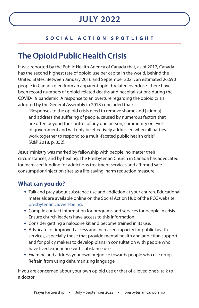### **SOCIAL ACTION SPOTLIGHT**

## **The Opioid Public Health Crisis**

It was reported by the Public Health Agency of Canada that, as of 2017, Canada has the second highest rate of opioid use per capita in the world, behind the United States. Between January 2016 and September 2021, an estimated 26,690 people in Canada died from an apparent opioid-related overdose. There have been record numbers of opioid-related deaths and hospitalizations during the COVID-19 pandemic. A response to an overture regarding the opioid crisis adopted by the General Assembly in 2018 concluded that:

"Responses to the opioid crisis need to remove shame and [stigma] and address the suffering of people, caused by numerous factors that are often beyond the control of any one person, community or level of government and will only be effectively addressed when all parties work together to respond to a multi-faceted public health crisis" (A&P 2018, p. 352).

Jesus' ministry was marked by fellowship with people, no matter their circumstances, and by healing. The Presbyterian Church in Canada has advocated for increased funding for addictions treatment services and affirmed safe consumption/injection sites as a life-saving, harm reduction measure.

### **What can you do?**

- **•** Talk and pray about substance use and addiction at your church. Educational materials are available online on the Social Action Hub of the PCC website: presbyterian.ca/well-being.
- **•** Compile contact information for programs and services for people in crisis. Ensure church leaders have access to this information.
- **•** Consider getting a naloxone kit and become trained in its use.
- **•** Advocate for improved access and increased capacity for public health services, especially those that provide mental health and addiction support, and for policy makers to develop plans in consultation with people who have lived experience with substance use.
- **•** Examine and address your own prejudice towards people who use drugs. Refrain from using dehumanizing language.

If you are concerned about your own opioid use or that of a loved one's, talk to a doctor.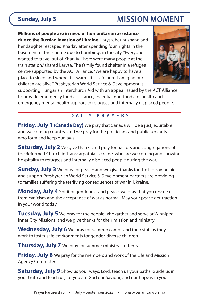## **Sunday, July 3 MISSION MOMENT**

**Millions of people are in need of humanitarian assistance due to the Russian invasion of Ukraine.** Larysa, her husband and her daughter escaped Kharkiv after spending four nights in the basement of their home due to bombings in the city. "Everyone wanted to travel out of Kharkiv. There were many people at the train station," shared Larysa. The family found shelter in a refugee centre supported by the ACT Alliance. "We are happy to have a place to sleep and where it is warm. It is safe here. I am glad our children are alive." Presbyterian World Service & Development is



supporting Hungarian Interchurch Aid with an appeal issued by the ACT Alliance to provide emergency food assistance, essential non-food aid, health and emergency mental health support to refugees and internally displaced people.

### **DAILY PRAYERS**

**Friday, July 1 (Canada Day)** We pray that Canada will be a just, equitable and welcoming country; and we pray for the politicians and public servants who form and keep our laws.

**Saturday, July 2** We give thanks and pray for pastors and congregations of the Reformed Church in Transcarpathia, Ukraine, who are welcoming and showing hospitality to refugees and internally displaced people during the war.

**Sunday, July 3** We pray for peace; and we give thanks for the life-saving aid and support Presbyterian World Service & Development partners are providing to families suffering the terrifying consequences of war in Ukraine.

**Monday, July 4** Spirit of gentleness and peace, we pray that you rescue us from cynicism and the acceptance of war as normal. May your peace get traction in your world today.

**Tuesday, July 5** We pray for the people who gather and serve at Winnipeg Inner City Missions, and we give thanks for their mission and ministry.

**Wednesday, July 6** We pray for summer camps and their staff as they work to foster safe environments for gender-diverse children.

**Thursday, July 7** We pray for summer ministry students.

**Friday, July 8** We pray for the members and work of the Life and Mission Agency Committee.

**Saturday, July 9** Show us your ways, Lord, teach us your paths. Guide us in your truth and teach us, for you are God our Saviour, and our hope is in you.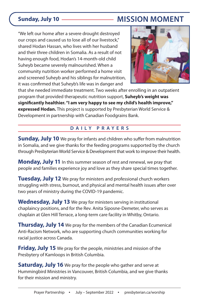## **Sunday, July 10 MISSION MOMENT**

"We left our home after a severe drought destroyed our crops and caused us to lose all of our livestock," shared Hodan Hassan, who lives with her husband and their three children in Somalia. As a result of not having enough food, Hodan's 14-month-old child Suheyb became severely malnourished. When a community nutrition worker performed a home visit and screened Suheyb and his siblings for malnutrition, it was confirmed that Suheyb's life was in danger and



that she needed immediate treatment. Two weeks after enrolling in an outpatient program that provided therapeutic nutrition support, **Suheyb's weight was significantly healthier. "I am very happy to see my child's health improve," expressed Hodan.** This project is supported by Presbyterian World Service & Development in partnership with Canadian Foodgrains Bank.

### **DAILY PRAYERS**

**Sunday, July 10** We pray for infants and children who suffer from malnutrition in Somalia, and we give thanks for the feeding programs supported by the church through Presbyterian World Service & Development that work to improve their health.

**Monday, July 11** In this summer season of rest and renewal, we pray that people and families experience joy and love as they share special times together.

**Tuesday, July 12** We pray for ministers and professional church workers struggling with stress, burnout, and physical and mental health issues after over two years of ministry during the COVID-19 pandemic.

**Wednesday, July 13** We pray for ministers serving in institutional chaplaincy positions, and for the Rev. Anita Siposne-Demeter, who serves as chaplain at Glen Hill Terrace, a long-term care facility in Whitby, Ontario.

**Thursday, July 14** We pray for the members of the Canadian Ecumenical Anti-Racism Network, who are supporting church communities working for racial justice across Canada.

**Friday, July 15** We pray for the people, ministries and mission of the Presbytery of Kamloops in British Columbia.

**Saturday, July 16** We pray for the people who gather and serve at Hummingbird Ministries in Vancouver, British Columbia, and we give thanks for their mission and ministry.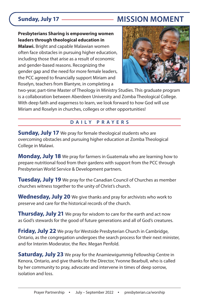## **Sunday, July 17 MISSION MOMENT**

#### **Presbyterians Sharing is empowering women leaders through theological education in**

**Malawi.** Bright and capable Malawian women often face obstacles in pursuing higher education, including those that arise as a result of economic and gender-based reasons. Recognizing the gender gap and the need for more female leaders, the PCC agreed to financially support Miriam and Roselyn, teachers from Blantyre, in completing a



two-year, part-time Master of Theology in Ministry Studies. This graduate program is a collaboration between Aberdeen University and Zomba Theological College. With deep faith and eagerness to learn, we look forward to how God will use Miriam and Roselyn in churches, colleges or other opportunities!

#### **DAILY PRAYERS**

**Sunday, July 17** We pray for female theological students who are overcoming obstacles and pursuing higher education at Zomba Theological College in Malawi.

**Monday, July 18** We pray for farmers in Guatemala who are learning how to prepare nutritional food from their gardens with support from the PCC through Presbyterian World Service & Development partners.

**Tuesday, July 19** We pray for the Canadian Council of Churches as member churches witness together to the unity of Christ's church.

**Wednesday, July 20** We give thanks and pray for archivists who work to preserve and care for the historical records of the church.

**Thursday, July 21** We pray for wisdom to care for the earth and act now as God's stewards for the good of future generations and all of God's creatures.

**Friday, July 22** We pray for Westside Presbyterian Church in Cambridge, Ontario, as the congregation undergoes the search process for their next minister, and for Interim Moderator, the Rev. Megan Penfold.

**Saturday, July 23** We pray for the Anamiewigummig Fellowship Centre in Kenora, Ontario, and give thanks for the Director, Yvonne Bearbull, who is called by her community to pray, advocate and intervene in times of deep sorrow, isolation and loss.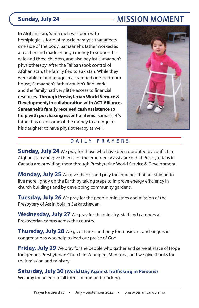## **Sunday, July 24 MISSION MOMENT**

In Afghanistan, Samaaneh was born with hemiplegia, a form of muscle paralysis that affects one side of the body. Samaaneh's father worked as a teacher and made enough money to support his wife and three children, and also pay for Samaaneh's physiotherapy. After the Taliban took control of Afghanistan, the family fled to Pakistan. While they were able to find refuge in a cramped one-bedroom house, Samaaneh's father couldn't find work, and the family had very little access to financial resources. **Through Presbyterian World Service & Development, in collaboration with ACT Alliance, Samaaneh's family received cash assistance to help with purchasing essential items.** Samaaneh's father has used some of the money to arrange for his daughter to have physiotherapy as well.



### **DAILY PRAYERS**

**Sunday, July 24** We pray for those who have been uprooted by conflict in Afghanistan and give thanks for the emergency assistance that Presbyterians in Canada are providing them through Presbyterian World Service & Development.

**Monday, July 25** We give thanks and pray for churches that are striving to live more lightly on the Earth by taking steps to improve energy efficiency in church buildings and by developing community gardens.

**Tuesday, July 26** We pray for the people, ministries and mission of the Presbytery of Assiniboia in Saskatchewan.

**Wednesday, July 27** We pray for the ministry, staff and campers at Presbyterian camps across the country.

**Thursday, July 28** We give thanks and pray for musicians and singers in congregations who help to lead our praise of God.

**Friday, July 29** We pray for the people who gather and serve at Place of Hope Indigenous Presbyterian Church in Winnipeg, Manitoba, and we give thanks for their mission and ministry.

#### **Saturday, July 30 (World Day Against Trafficking in Persons)**

We pray for an end to all forms of human trafficking.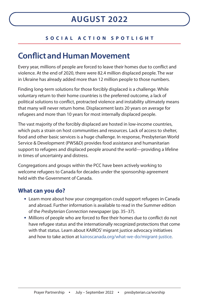### **SOCIAL ACTION SPOTLIGHT**

## **Conflict and Human Movement**

Every year, millions of people are forced to leave their homes due to conflict and violence. At the end of 2020, there were 82.4 million displaced people. The war in Ukraine has already added more than 12 million people to those numbers.

Finding long-term solutions for those forcibly displaced is a challenge. While voluntary return to their home countries is the preferred outcome, a lack of political solutions to conflict, protracted violence and instability ultimately means that many will never return home. Displacement lasts 20 years on average for refugees and more than 10 years for most internally displaced people.

The vast majority of the forcibly displaced are hosted in low-income countries, which puts a strain on host communities and resources. Lack of access to shelter, food and other basic services is a huge challenge. In response, Presbyterian World Service & Development (PWS&D) provides food assistance and humanitarian support to refugees and displaced people around the world—providing a lifeline in times of uncertainty and distress.

Congregations and groups within the PCC have been actively working to welcome refugees to Canada for decades under the sponsorship agreement held with the Government of Canada.

### **What can you do?**

- **•** Learn more about how your congregation could support refugees in Canada and abroad. Further information is available to read in the Summer edition of the Presbyterian Connection newspaper (pp. 35–37).
- **•** Millions of people who are forced to flee their homes due to conflict do not have refugee status and the internationally recognized protections that come with that status. Learn about KAIROS' migrant justice advocacy initiatives and how to take action at kairoscanada.org/what-we-do/migrant-justice.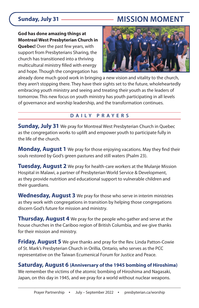## **Sunday, July 31 MISSION MOMENT**

**God has done amazing things at Montreal West Presbyterian Church in**

**Quebec!** Over the past few years, with support from Presbyterians Sharing, the church has transitioned into a thriving multicultural ministry filled with energy and hope. Though the congregation has



already done much good work in bringing a new vision and vitality to the church, they aren't stopping there. They have their sights set to the future, wholeheartedly embracing youth ministry and seeing and treating their youth as the leaders of tomorrow. This new focus on youth ministry has youth participating in all levels of governance and worship leadership, and the transformation continues.

### **DAILY PRAYERS**

**Sunday, July 31** We pray for Montreal West Presbyterian Church in Quebec as the congregation works to uplift and empower youth to participate fully in the life of the church.

**Monday, August 1** We pray for those enjoying vacations. May they find their souls restored by God's green pastures and still waters (Psalm 23).

**Tuesday, August 2** We pray for health-care workers at the Mulanje Mission Hospital in Malawi, a partner of Presbyterian World Service & Development, as they provide nutrition and educational support to vulnerable children and their guardians.

**Wednesday, August 3** We pray for those who serve in interim ministries as they work with congregations in transition by helping those congregations discern God's future for mission and ministry.

**Thursday, August 4** We pray for the people who gather and serve at the house churches in the Cariboo region of British Columbia, and we give thanks for their mission and ministry.

**Friday, August 5** We give thanks and pray for the Rev. Linda Patton-Cowie of St. Mark's Presbyterian Church in Orillia, Ontario, who serves as the PCC representative on the Taiwan Ecumenical Forum for Justice and Peace.

### **Saturday, August 6 (Anniversary of the 1945 bombing of Hiroshima)**

We remember the victims of the atomic bombing of Hiroshima and Nagasaki, Japan, on this day in 1945, and we pray for a world without nuclear weapons.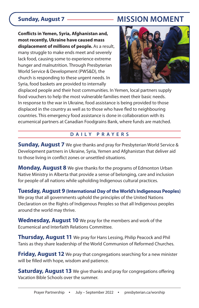## **Sunday, August 7 MISSION MOMENT**

**Conflicts in Yemen, Syria, Afghanistan and, most recently, Ukraine have caused mass**

**displacement of millions of people.** As a result, many struggle to make ends meet and severely lack food, causing some to experience extreme hunger and malnutrition. Through Presbyterian World Service & Development (PWS&D), the church is responding to these urgent needs. In Syria, food baskets are provided to internally



displaced people and their host communities. In Yemen, local partners supply food vouchers to help the most vulnerable families meet their basic needs. In response to the war in Ukraine, food assistance is being provided to those displaced in the country as well as to those who have fled to neighbouring countries. This emergency food assistance is done in collaboration with its ecumenical partners at Canadian Foodgrains Bank, where funds are matched.

#### **DAILY PRAYERS**

**Sunday, August 7** We give thanks and pray for Presbyterian World Service & Development partners in Ukraine, Syria, Yemen and Afghanistan that deliver aid to those living in conflict zones or unsettled situations.

**Monday, August 8** We give thanks for the programs of Edmonton Urban Native Ministry in Alberta that provide a sense of belonging, care and inclusion for people of all nations while upholding Indigenous cultural practices.

**Tuesday, August 9 (International Day of the World's Indigenous Peoples)** We pray that all governments uphold the principles of the United Nations Declaration on the Rights of Indigenous Peoples so that all Indigenous peoples around the world may thrive.

**Wednesday, August 10** We pray for the members and work of the Ecumenical and Interfaith Relations Committee.

**Thursday, August 11** We pray for Hans Lessing, Philip Peacock and Phil Tanis as they share leadership of the World Communion of Reformed Churches.

**Friday, August 12** We pray that congregations searching for a new minister will be filled with hope, wisdom and patience.

**Saturday, August 13** We give thanks and pray for congregations offering Vacation Bible Schools over the summer.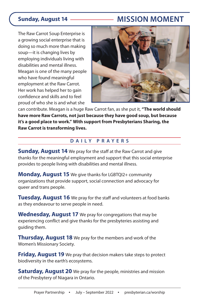## **Sunday, August 14 MISSION MOMENT**

The Raw Carrot Soup Enterprise is a growing social enterprise that is doing so much more than making soup—it is changing lives by employing individuals living with disabilities and mental illness. Meagan is one of the many people who have found meaningful employment at the Raw Carrot. Her work has helped her to gain confidence and skills and to feel proud of who she is and what she



can contribute. Meagan is a huge Raw Carrot fan, as she put it, **"The world should have more Raw Carrots, not just because they have good soup, but because it's a good place to work." With support from Presbyterians Sharing, the Raw Carrot is transforming lives.**

### **DAILY PRAYERS**

**Sunday, August 14** We pray for the staff at the Raw Carrot and give thanks for the meaningful employment and support that this social enterprise provides to people living with disabilities and mental illness.

**Monday, August 15** We give thanks for LGBTQI2+ community organizations that provide support, social connection and advocacy for queer and trans people.

**Tuesday, August 16** We pray for the staff and volunteers at food banks as they endeavour to serve people in need.

**Wednesday, August 17** We pray for congregations that may be experiencing conflict and give thanks for the presbyteries assisting and guiding them.

**Thursday, August 18** We pray for the members and work of the Women's Missionary Society.

**Friday, August 19** We pray that decision makers take steps to protect biodiversity in the earth's ecosystems.

**Saturday, August 20** We pray for the people, ministries and mission of the Presbytery of Niagara in Ontario.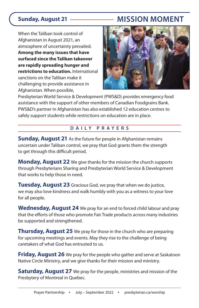## **Sunday, August 21 MISSION MOMENT**

When the Taliban took control of Afghanistan in August 2021, an atmosphere of uncertainty prevailed. **Among the many issues that have surfaced since the Taliban takeover are rapidly spreading hunger and restrictions to education.** International sanctions on the Taliban make it challenging to provide assistance in Afghanistan. When possible,



Presbyterian World Service & Development (PWS&D) provides emergency food assistance with the support of other members of Canadian Foodgrains Bank. PWS&D's partner in Afghanistan has also established 12 education centres to safely support students while restrictions on education are in place.

### **DAILY PRAYERS**

**Sunday, August 21** As the future for people in Afghanistan remains uncertain under Taliban control, we pray that God grants them the strength to get through this difficult period.

**Monday, August 22** We give thanks for the mission the church supports through Presbyterians Sharing and Presbyterian World Service & Development that works to help those in need.

**Tuesday, August 23** Gracious God, we pray that when we do justice, we may also love kindness and walk humbly with you as a witness to your love for all people.

**Wednesday, August 24** We pray for an end to forced child labour and pray that the efforts of those who promote Fair Trade products across many industries be supported and strengthened.

**Thursday, August 25** We pray for those in the church who are preparing for upcoming meetings and events. May they rise to the challenge of being caretakers of what God has entrusted to us.

**Friday, August 26** We pray for the people who gather and serve at Saskatoon Native Circle Ministry, and we give thanks for their mission and ministry.

**Saturday, August 27** We pray for the people, ministries and mission of the Presbytery of Montreal in Quebec.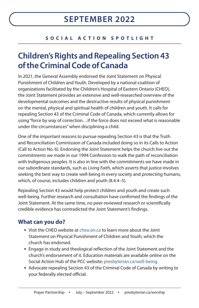### **SOCIAL ACTION SPOTLIGHT**

## **Children's Rights and Repealing Section 43 of the Criminal Code of Canada**

In 2021, the General Assembly endorsed the Joint Statement on Physical Punishment of Children and Youth. Developed by a national coalition of organizations facilitated by the Children's Hospital of Eastern Ontario (CHEO), the Joint Statement provides an extensive and well-researched overview of the developmental outcomes and the destructive results of physical punishment on the mental, physical and spiritual health of children and youth. It calls for repealing Section 43 of the Criminal Code of Canada, which currently allows for using "force by way of correction…if the force does not exceed what is reasonable under the circumstances" when disciplining a child.

One of the important reasons to pursue repealing Section 43 is that the Truth and Reconciliation Commission of Canada included doing so in its Calls to Action (Call to Action No. 6). Endorsing the Joint Statement helps the church live out the commitments we made in our 1994 Confession to walk the path of reconciliation with Indigenous peoples. It is also in line with the commitments we have made in our subordinate standards, such as Living Faith, which asserts that justice involves seeking the best way to create well-being in every society and protecting humans, which, of course, includes children and youth (8.4.4–5).

Repealing Section 43 would help protect children and youth and create such well-being. Further research and consultation have confirmed the findings of the Joint Statement. At the same time, no peer-reviewed research or scientifically credible evidence has contradicted the Joint Statement's findings.

### **What can you do?**

- **•** Visit the CHEO website at cheo.on.ca to learn more about the Joint Statement on Physical Punishment of Children and Youth, which the church has endorsed.
- **•** Engage in study and theological reflection of the Joint Statement and the church's endorsement of it. Education materials are available online on the Social Action Hub of the PCC website: presbyterian.ca/well-being.
- **•** Advocate repealing Section 43 of the Criminal Code of Canada by writing to your federally elected official.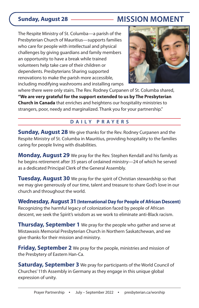## **Sunday, August 28 MISSION MOMENT**

The Respite Ministry of St. Columba—a parish of the Presbyterian Church of Mauritius—supports families who care for people with intellectual and physical challenges by giving guardians and family members an opportunity to have a break while trained volunteers help take care of their children or dependents. Presbyterians Sharing supported renovations to make the parish more accessible, including modifying washrooms and installing ramps



where there were only stairs. The Rev. Rodney Curpanen of St. Columba shared, **"We are very grateful for the support extended to us by The Presbyterian Church in Canada** that enriches and heightens our hospitality ministries to strangers, poor, needy and marginalized. Thank you for your partnership."

### **DAILY PRAYERS**

**Sunday, August 28** We give thanks for the Rev. Rodney Curpanen and the Respite Ministry of St. Columba in Mauritius, providing hospitality to the families caring for people living with disabilities.

**Monday, August 29** We pray for the Rev. Stephen Kendall and his family as he begins retirement after 35 years of ordained ministry—24 of which he served as a dedicated Principal Clerk of the General Assembly.

**Tuesday, August 30** We pray for the spirit of Christian stewardship so that we may give generously of our time, talent and treasure to share God's love in our church and throughout the world.

**Wednesday, August 31 (International Day for People of African Descent)** Recognizing the harmful legacy of colonization faced by people of African descent, we seek the Spirit's wisdom as we work to eliminate anti-Black racism.

**Thursday, September 1** We pray for the people who gather and serve at Mistawasis Memorial Presbyterian Church in Northern Saskatchewan, and we give thanks for their mission and ministry.

**Friday, September 2** We pray for the people, ministries and mission of the Presbytery of Eastern Han-Ca.

**Saturday, September 3** We pray for participants of the World Council of Churches' 11th Assembly in Germany as they engage in this unique global expression of unity.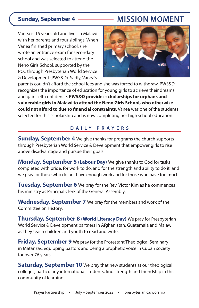## **Sunday, September 4 MISSION MOMENT**

Vanea is 15 years old and lives in Malawi with her parents and four siblings. When Vanea finished primary school, she wrote an entrance exam for secondary school and was selected to attend the Neno Girls School, supported by the PCC through Presbyterian World Service & Development (PWS&D). Sadly, Vanea's



parents couldn't afford the school fees and she was forced to withdraw. PWS&D recognizes the importance of education for young girls to achieve their dreams and gain self-confidence. **PWS&D provides scholarships for orphans and vulnerable girls in Malawi to attend the Neno Girls School, who otherwise could not afford to due to financial constraints.** Vanea was one of the students selected for this scholarship and is now completing her high school education.

### **DAILY PRAYERS**

**Sunday, September 4** We give thanks for programs the church supports through Presbyterian World Service & Development that empower girls to rise above disadvantage and pursue their goals.

**Monday, September 5 (Labour Day)** We give thanks to God for tasks completed with pride, for work to do, and for the strength and ability to do it; and we pray for those who do not have enough work and for those who have too much.

**Tuesday, September 6** We pray for the Rev. Victor Kim as he commences his ministry as Principal Clerk of the General Assembly.

**Wednesday, September 7** We pray for the members and work of the Committee on History.

**Thursday, September 8 (World Literacy Day)** We pray for Presbyterian World Service & Development partners in Afghanistan, Guatemala and Malawi as they teach children and youth to read and write.

**Friday, September 9** We pray for the Protestant Theological Seminary in Matanzas, equipping pastors and being a prophetic voice in Cuban society for over 76 years.

**Saturday, September 10** We pray that new students at our theological colleges, particularly international students, find strength and friendship in this community of learning.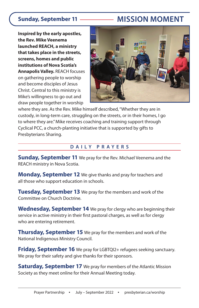## **Sunday, September 11 MISSION MOMENT**

**Inspired by the early apostles, the Rev. Mike Veenema launched REACH, a ministry that takes place in the streets, screens, homes and public institutions of Nova Scotia's Annapolis Valley.** REACH focuses on gathering people to worship and become disciples of Jesus Christ. Central to this ministry is Mike's willingness to go out and draw people together in worship



where they are. As the Rev. Mike himself described, "Whether they are in custody, in long-term care, struggling on the streets, or in their homes, I go to where they are." Mike receives coaching and training support through Cyclical PCC, a church-planting initiative that is supported by gifts to Presbyterians Sharing.

#### **DAILY PRAYERS**

**Sunday, September 11** We pray for the Rev. Michael Veenema and the REACH ministry in Nova Scotia.

**Monday, September 12** We give thanks and pray for teachers and all those who support education in schools.

**Tuesday, September 13** We pray for the members and work of the Committee on Church Doctrine.

**Wednesday, September 14** We pray for clergy who are beginning their service in active ministry in their first pastoral charges, as well as for clergy who are entering retirement.

**Thursday, September 15** We pray for the members and work of the National Indigenous Ministry Council.

**Friday, September 16** We pray for LGBTQI2+ refugees seeking sanctuary. We pray for their safety and give thanks for their sponsors.

**Saturday, September 17** We pray for members of the Atlantic Mission Society as they meet online for their Annual Meeting today.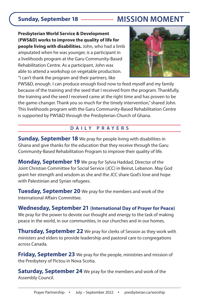## **Sunday, September 18 MISSION MOMENT**

**Presbyterian World Service & Development (PWS&D) works to improve the quality of life for people living with disabilities.** John, who had a limb amputated when he was younger, is a participant in a livelihoods program at the Garu Community-Based Rehabilitation Centre. As a participant, John was able to attend a workshop on vegetable production. "I can't thank the program and their partners, like



PWS&D, enough. I can produce enough food now to feed myself and my family because of the training and the seed that I received from the program. Thankfully, the training and the seed I received came at the right time and has proven to be the game-changer. Thank you so much for the timely intervention," shared John. This livelihoods program with the Garu Community-Based Rehabilitation Centre is supported by PWS&D through the Presbyterian Church of Ghana.

### **DAILY PRAYERS**

**Sunday, September 18** We pray for people living with disabilities in Ghana and give thanks for the education that they receive through the Garu Community-Based Rehabilitation Program to improve their quality of life.

**Monday, September 19** We pray for Sylvia Haddad, Director of the Joint Christian Committee for Social Service (JCC) in Beirut, Lebanon. May God grant her strength and wisdom as she and the JCC share God's love and hope with Palestinian and Syrian refugees.

**Tuesday, September 20** We pray for the members and work of the International Affairs Committee.

**Wednesday, September 21 (International Day of Prayer for Peace)** We pray for the power to devote our thought and energy to the task of making peace in the world, in our communities, in our churches and in our homes.

**Thursday, September 22** We pray for clerks of Session as they work with ministers and elders to provide leadership and pastoral care to congregations across Canada.

**Friday, September 23** We pray for the people, ministries and mission of the Presbytery of Pictou in Nova Scotia.

**Saturday, September 24** We pray for the members and work of the Assembly Council.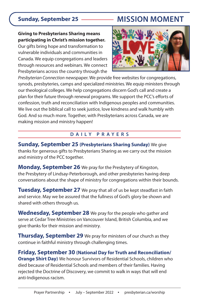## **Sunday, September 25 MISSION MOMENT**

#### **Giving to Presbyterians Sharing means participating in Christ's mission together.**

Our gifts bring hope and transformation to vulnerable individuals and communities in Canada. We equip congregations and leaders through resources and webinars. We connect Presbyterians across the country through the



Presbyterian Connection newspaper. We provide free websites for congregations, synods, presbyteries, camps and specialized ministries. We equip ministers through our theological colleges. We help congregations discern God's call and create a plan for their future through renewal programs. We support the PCC's efforts of confession, truth and reconciliation with Indigenous peoples and communities. We live out the biblical call to seek justice, love kindness and walk humbly with God. And so much more. Together, with Presbyterians across Canada, we are making mission and ministry happen!

#### **DAILY PRAYERS**

**Sunday, September 25 (Presbyterians Sharing Sunday)** We give thanks for generous gifts to Presbyterians Sharing as we carry out the mission and ministry of the PCC together.

**Monday, September 26** We pray for the Presbytery of Kingston, the Presbytery of Lindsay-Peterborough, and other presbyteries having deep conversations about the shape of ministry for congregations within their bounds.

**Tuesday, September 27** We pray that all of us be kept steadfast in faith and service. May we be assured that the fullness of God's glory be shown and shared with others through us.

**Wednesday, September 28** We pray for the people who gather and serve at Cedar Tree Ministries on Vancouver Island, British Columbia, and we give thanks for their mission and ministry.

**Thursday, September 29** We pray for ministers of our church as they continue in faithful ministry through challenging times.

**Friday, September 30 (National Day for Truth and Reconciliation/ Orange Shirt Day)** We honour Survivors of Residential Schools, children who died because of Residential Schools and members of their families. Having rejected the Doctrine of Discovery, we commit to walk in ways that will end anti-Indigenous racism.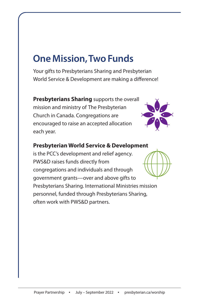# **One Mission, Two Funds**

Your gifts to Presbyterians Sharing and Presbyterian World Service & Development are making a difference!

**Presbyterians Sharing** supports the overall mission and ministry of The Presbyterian Church in Canada. Congregations are encouraged to raise an accepted allocation each year.



### **Presbyterian World Service & Development**

is the PCC's development and relief agency. PWS&D raises funds directly from congregations and individuals and through government grants—over and above gifts to Presbyterians Sharing. International Ministries mission personnel, funded through Presbyterians Sharing, often work with PWS&D partners.